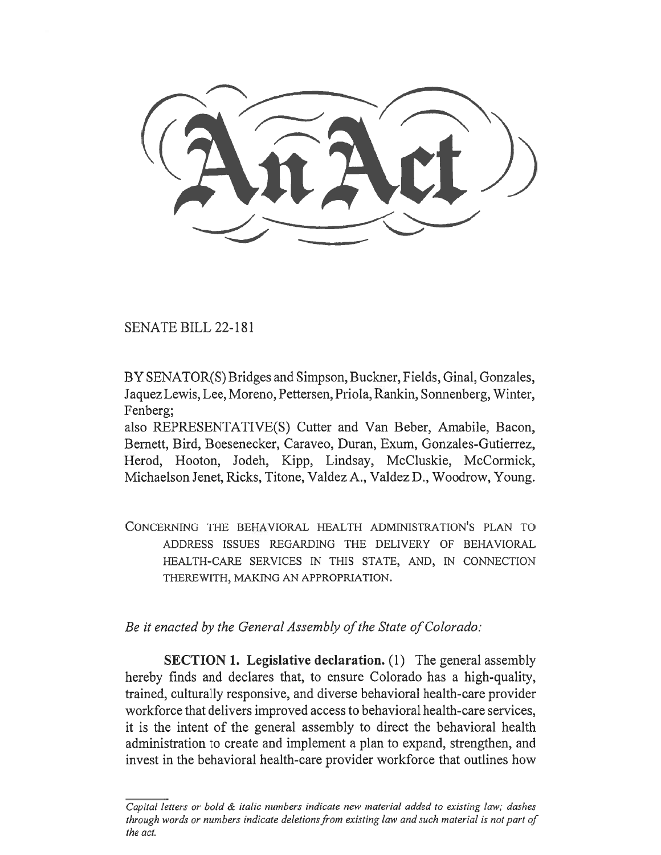SENATE BILL 22-181

BY SENATOR(S) Bridges and Simpson, Buckner, Fields, Ginal, Gonzales, Jaquez Lewis, Lee, Moreno, Pettersen, Priola, Rankin, Sonnenberg, Winter, Fenberg:

also REPRESENTATIVE(S) Cutter and Van Beber, Amabile, Bacon, Bernett, Bird, Boesenecker, Caraveo, Duran, Exum, Gonzales-Gutierrez, Herod, Hooton, Jodeh, Kipp, Lindsay, McCluskie, McCormick, Michaelson Jenet, Ricks, Titone, Valdez A., Valdez D., Woodrow, Young.

CONCERNING THE BEHAVIORAL HEALTH ADMINISTRATION'S PLAN TO ADDRESS ISSUES REGARDING THE DELIVERY OF BEHAVIORAL HEALTH-CARE SERVICES IN THIS STATE, AND, IN CONNECTION THEREWITH, MAKING AN APPROPRIATION.

Be it enacted by the General Assembly of the State of Colorado:

SECTION 1. Legislative declaration. (1) The general assembly hereby finds and declares that, to ensure Colorado has a high-quality, trained, culturally responsive, and diverse behavioral health-care provider workforce that delivers improved access to behavioral health-care services, it is the intent of the general assembly to direct the behavioral health administration to create and implement a plan to expand, strengthen, and invest in the behavioral health-care provider workforce that outlines how

Capital letters or bold & italic numbers indicate new material added to existing law; dashes through words or numbers indicate deletions from existing law and such material is not part of the act.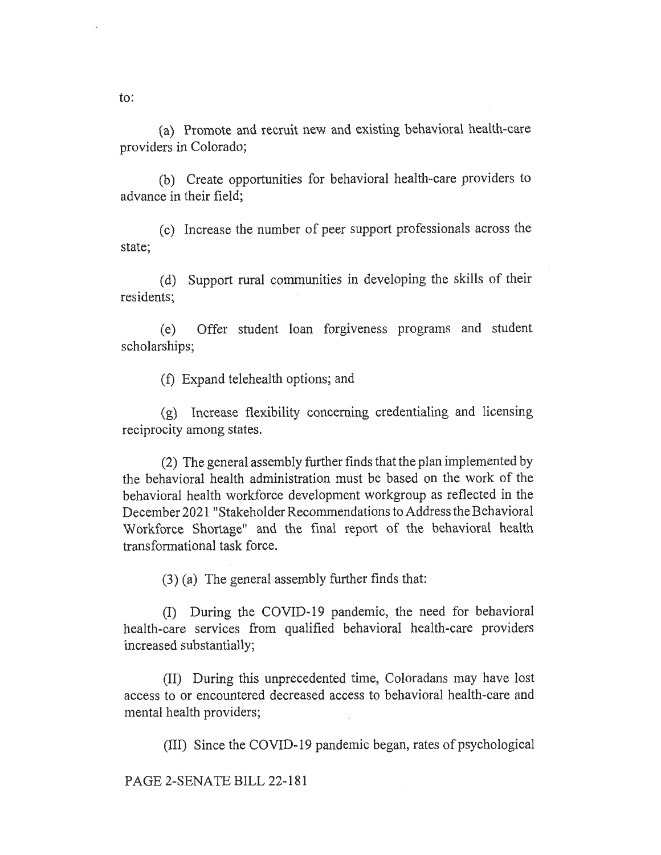(a) Promote and recruit new and existing behavioral health-care providers in Colorado;

(b) Create opportunities for behavioral health-care providers to advance in their field;

(c) Increase the number of peer support professionals across the state;

(d) Support rural communities in developing the skills of their residents;

(e) Offer student loan forgiveness programs and student scholarships;

 $(f)$  Expand telehealth options; and

(g) Increase flexibility concerning credentialing and licensing reciprocity among states.

(2) The general assembly further finds that the plan implemented by the behavioral health administration must be based on the work of the behavioral health workforce development workgroup as reflected in the December 2021 "Stakeholder Recommendations to Address the Behavioral Workforce Shortage" and the final report of the behavioral health transformational task force.

(3) (a) The general assembly further finds that:

(I) During the COVID-19 pandemic, the need for behavioral health-care services from qualified behavioral health-care providers increased substantially;

(II) During this unprecedented time, Coloradans may have lost access to or encountered decreased access to behavioral health-care and mental health providers;

(III) Since the COVID-19 pandemic began, rates of psychological

PAGE 2-SENATE BILL 22-181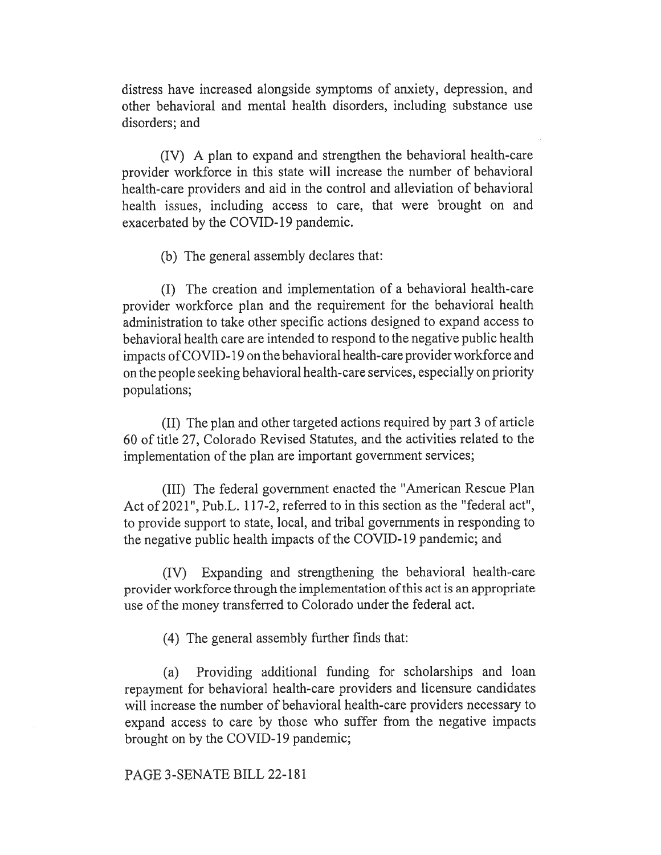distress have increased alongside symptoms of anxiety, depression, and other behavioral and mental health disorders, including substance use disorders; and

(IV) A plan to expand and strengthen the behavioral health-care provider workforce in this state will increase the number of behavioral health-care providers and aid in the control and alleviation of behavioral health issues, including access to care, that were brought on and exacerbated by the COVID-19 pandemic.

(b) The general assembly declares that:

(I) The creation and implementation of a behavioral health-care provider workforce plan and the requirement for the behavioral health administration to take other specific actions designed to expand access to behavioral health care are intended to respond to the negative public health impacts of COVID-19 on the behavioral health-care provider workforce and on the people seeking behavioral health-care services, especially on priority populations;

(II) The plan and other targeted actions required by part 3 of article 60 of title 27, Colorado Revised Statutes, and the activities related to the implementation of the plan are important government services;

(III) The federal government enacted the "American Rescue Plan Act of 2021", Pub.L. 117-2, referred to in this section as the "federal act", to provide support to state, local, and tribal governments in responding to the negative public health impacts of the COVID-19 pandemic; and

(IV) Expanding and strengthening the behavioral health-care provider workforce through the implementation of this act is an appropriate use of the money transferred to Colorado under the federal act.

(4) The general assembly further finds that:

(a) Providing additional funding for scholarships and loan repayment for behavioral health-care providers and licensure candidates will increase the number of behavioral health-care providers necessary to expand access to care by those who suffer from the negative impacts brought on by the COVID-19 pandemic;

PAGE 3-SENATE BILL 22-181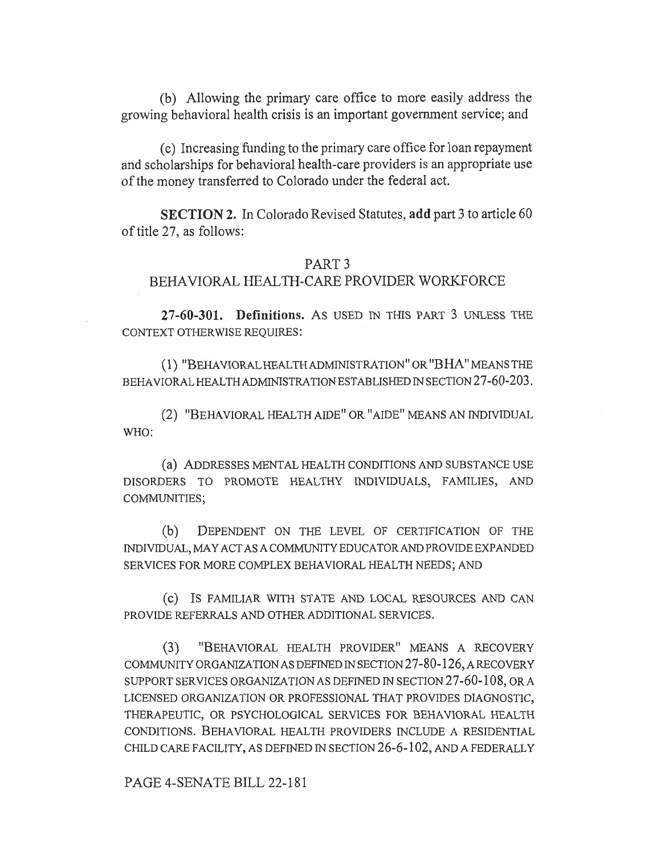(b) Allowing the primary care office to more easily address the growing behavioral health crisis is an important government service; and

(c) Increasing funding to the primary care office for loan repayment and scholarships for behavioral health-care providers is an appropriate use of the money transferred to Colorado under the federal act.

SECTION 2. In Colorado Revised Statutes, add part 3 to article 60 of title 27, as follows:

### PART 3

# BEHAVIORAL HEALTH-CARE PROVIDER WORKFORCE

27-60-301. Definitions. As USED IN THIS PART 3 UNLESS THE CONTEXT OTHERWISE REQUIRES:

(1) "BEHAVIORAL HEALTH ADMINISTRATION" OR "BHA" MEANS THE BEHAVIORAL HEALTH ADMINISTRATION ESTABLISHED IN SECTION 27-60-203.

(2) "BEHAVIORAL HEALTH AIDE" OR "AIDE" MEANS AN INDIVIDUAL WHO:

(a) ADDRESSES MENTAL HEALTH CONDITIONS AND SUBSTANCE USE DISORDERS TO PROMOTE HEALTHY INDIVIDUALS, FAMILIES, AND COMMUNITIES;

(b) DEPENDENT ON THE LEVEL OF CERTIFICATION OF THE INDIVIDUAL, MAY ACT AS A COMMUNITY EDUCATOR AND PROVIDE EXPANDED SERVICES FOR MORE COMPLEX BEHAVIORAL HEALTH NEEDS; AND

(c) IS FAMILIAR WITH STATE AND LOCAL RESOURCES AND CAN PROVIDE REFERRALS AND OTHER ADDITIONAL SERVICES.

(3) "BEHAVIORAL HEALTH PROVIDER" MEANS A RECOVERY COMMUNITY ORGANIZATION AS DEFINED IN SECTION 27-80-126, A RECOVERY SUPPORT SERVICES ORGANIZATION AS DEFINED IN SECTION 27-60-108, OR A LICENSED ORGANIZATION OR PROFESSIONAL THAT PROVIDES DIAGNOSTIC, THERAPEUTIC, OR PSYCHOLOGICAL SERVICES FOR BEHAVIORAL HEALTH CONDITIONS. BEHAVIORAL HEALTH PROVIDERS INCLUDE A RESIDENTIAL CHILD CARE FACILITY, AS DEFINED IN SECTION 26-6-102, AND A FEDERALLY

PAGE 4-SENATE BILL 22-181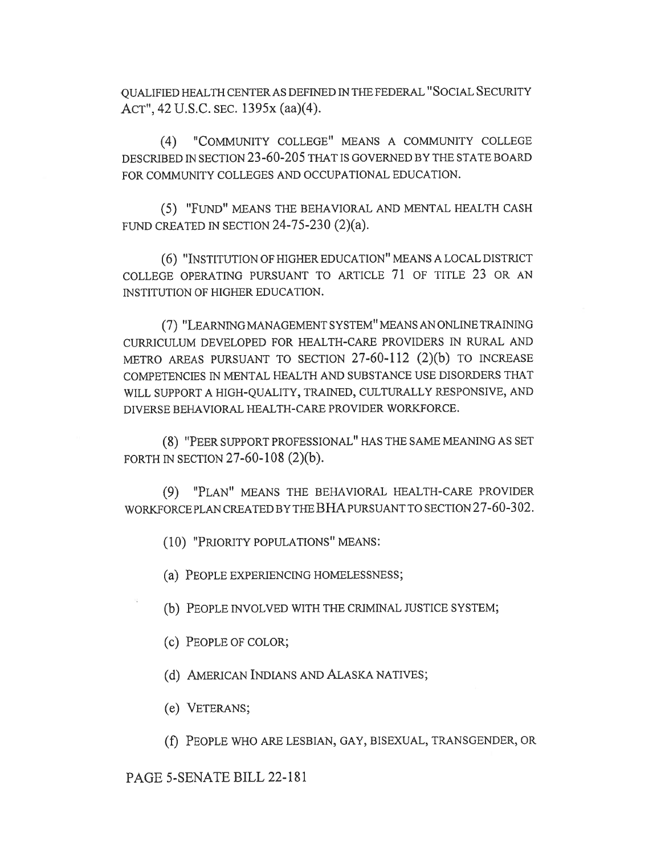QUALIFIED HEALTH CENTER AS DEFINED IN THE FEDERAL "SOCIAL SECURITY ACT", 42 U.S.C. SEC. 1395x (aa)(4).

(4) "COMMUNITY COLLEGE" MEANS A COMMUNITY COLLEGE DESCRIBED IN SECTION 23-60-205 THAT IS GOVERNED BY THE STATE BOARD FOR COMMUNITY COLLEGES AND OCCUPATIONAL EDUCATION.

(5) "FUND" MEANS THE BEHAVIORAL AND MENTAL HEALTH CASH FUND CREATED IN SECTION  $24-75-230$   $(2)(a)$ .

(6) "INSTITUTION OF HIGHER EDUCATION" MEANS A LOCAL DISTRICT COLLEGE OPERATING PURSUANT TO ARTICLE 71 OF TITLE 23 OR AN INSTITUTION OF HIGHER EDUCATION.

(7) "LEARNING MANAGEMENT SYSTEM" MEANS AN ONLINE TRAINING CURRICULUM DEVELOPED FOR HEALTH-CARE PROVIDERS IN RURAL AND METRO AREAS PURSUANT TO SECTION 27-60-112 (2)(b) TO INCREASE COMPETENCIES IN MENTAL HEALTH AND SUBSTANCE USE DISORDERS THAT WILL SUPPORT A HIGH-QUALITY, TRAINED, CULTURALLY RESPONSIVE, AND DIVERSE BEHAVIORAL HEALTH-CARE PROVIDER WORKFORCE.

(8) "PEER SUPPORT PROFESSIONAL" HAS THE SAME MEANING AS SET FORTH IN SECTION 27-60-108 (2)(b).

(9) "PLAN" MEANS THE BEHAVIORAL HEALTH-CARE PROVIDER WORKFORCE PLAN CREATED BY THE BHA PURSUANT TO SECTION 27-60-302.

(10) "PRIORITY POPULATIONS" MEANS:

(a) PEOPLE EXPERIENCING HOMELESSNESS;

(b) PEOPLE INVOLVED WITH THE CRIMINAL JUSTICE SYSTEM;

(c) PEOPLE OF COLOR;

(d) AMERICAN INDIANS AND ALASKA NATIVES;

(e) VETERANS;

(f) PEOPLE WHO ARE LESBIAN, GAY, BISEXUAL, TRANSGENDER, OR

PAGE 5-SENATE BILL 22-181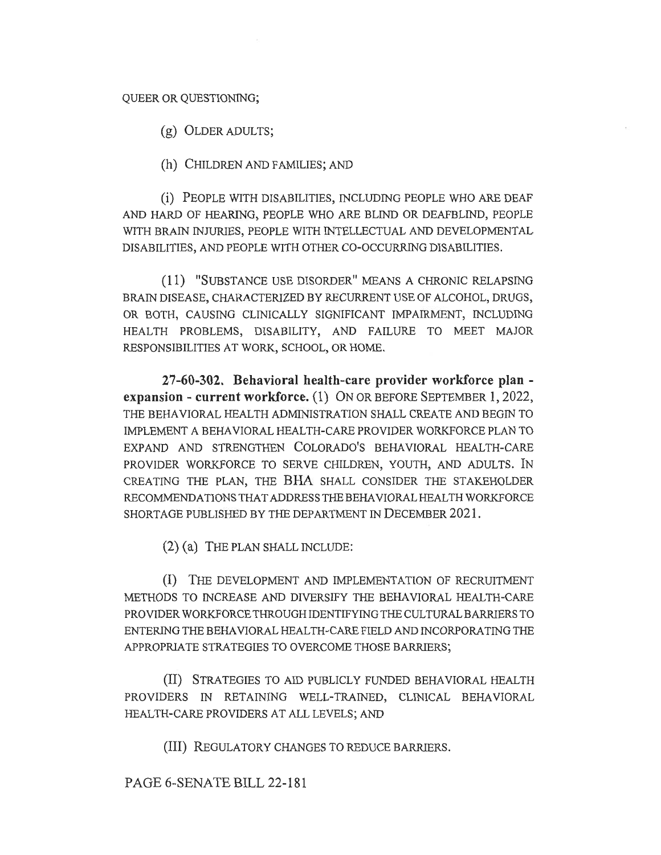### QUEER OR QUESTIONING;

(g) OLDER ADULTS;

(h) CHILDREN AND FAMILIES; AND

(i) PEOPLE WITH DISABILITIES, INCLUDING PEOPLE WHO ARE DEAF AND HARD OF HEARING, PEOPLE WHO ARE BLIND OR DEAFBLIND, PEOPLE WITH BRAIN INJURIES, PEOPLE WITH INTELLECTUAL AND DEVELOPMENTAL DISABILITIES, AND PEOPLE WITH OTHER CO-OCCURRING DISABILITIES.

(11) "SUBSTANCE USE DISORDER" MEANS A CHRONIC RELAPSING BRAIN DISEASE, CHARACTERIZED BY RECURRENT USE OF ALCOHOL, DRUGS, OR BOTH, CAUSING CLINICALLY SIGNIFICANT IMPAIRMENT, INCLUDING HEALTH PROBLEMS, DISABILITY, AND FAILURE TO MEET MAJOR RESPONSIBILITIES AT WORK, SCHOOL, OR HOME.

27-60-302. Behavioral health-care provider workforce plan expansion - current workforce. (1) ON OR BEFORE SEPTEMBER 1, 2022, THE BEHAVIORAL HEALTH ADMINISTRATION SHALL CREATE AND BEGIN TO IMPLEMENT A BEHAVIORAL HEALTH-CARE PROVIDER WORKFORCE PLAN TO EXPAND AND STRENGTHEN COLORADO'S BEHAVIORAL HEALTH-CARE PROVIDER WORKFORCE TO SERVE CHILDREN, YOUTH, AND ADULTS. IN CREATING THE PLAN, THE BHA SHALL CONSIDER THE STAKEHOLDER RECOMMENDATIONS THAT ADDRESS THE BEHAVIORAL HEALTH WORKFORCE SHORTAGE PUBLISHED BY THE DEPARTMENT IN DECEMBER 2021.

(2) (a) THE PLAN SHALL INCLUDE:

(I) THE DEVELOPMENT AND IMPLEMENTATION OF RECRUITMENT METHODS TO INCREASE AND DIVERSIFY THE BEHAVIORAL HEALTH-CARE PROVIDER WORKFORCE THROUGH IDENTIFYING THE CULTURAL BARRIERS TO ENTERING THE BEHAVIORAL HEALTH-CARE FIELD AND INCORPORATING THE APPROPRIATE STRATEGIES TO OVERCOME THOSE BARRIERS;

(II) STRATEGIES TO AID PUBLICLY FUNDED BEHAVIORAL HEALTH PROVIDERS IN RETAINING WELL-TRAINED, CLINICAL BEHAVIORAL HEALTH-CARE PROVIDERS AT ALL LEVELS; AND

(III) REGULATORY CHANGES TO REDUCE BARRIERS.

PAGE 6-SENATE BILL 22-181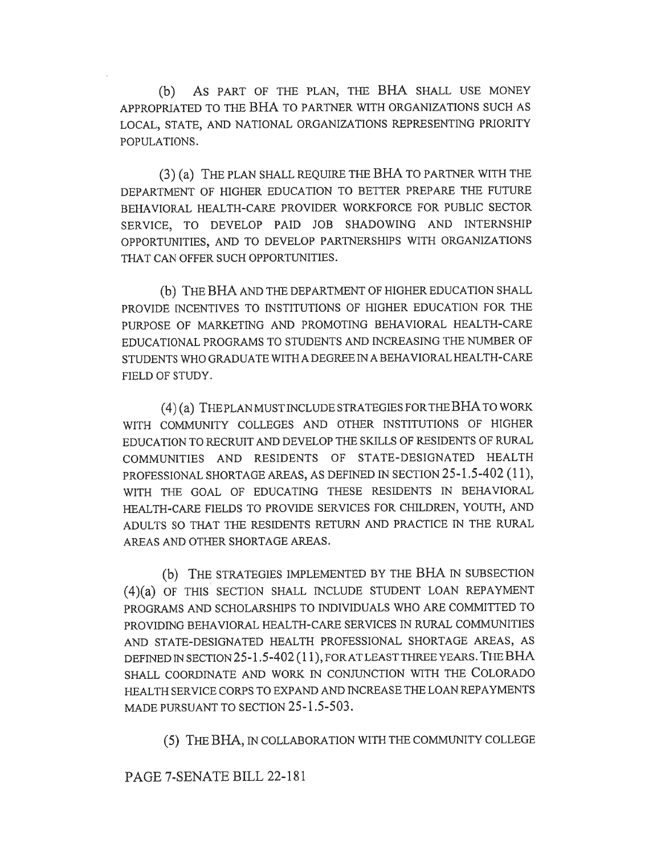(b) AS PART OF THE PLAN, THE BHA SHALL USE MONEY APPROPRIATED TO THE BHA TO PARTNER WITH ORGANIZATIONS SUCH AS LOCAL, STATE, AND NATIONAL ORGANIZATIONS REPRESENTING PRIORITY POPULATIONS.

(3) (a) THE PLAN SHALL REQUIRE THE BHA TO PARTNER WITH THE DEPARTMENT OF HIGHER EDUCATION TO BETTER PREPARE THE FUTURE BEHAVIORAL HEALTH-CARE PROVIDER WORKFORCE FOR PUBLIC SECTOR SERVICE, TO DEVELOP PAID JOB SHADOWING AND INTERNSHIP OPPORTUNITIES, AND TO DEVELOP PARTNERSHIPS WITH ORGANIZATIONS THAT CAN OFFER SUCH OPPORTUNITIES.

(b) THE BHA AND THE DEPARTMENT OF HIGHER EDUCATION SHALL PROVIDE INCENTIVES TO INSTITUTIONS OF HIGHER EDUCATION FOR THE PURPOSE OF MARKETING AND PROMOTING BEHAVIORAL HEALTH-CARE EDUCATIONAL PROGRAMS TO STUDENTS AND INCREASING THE NUMBER OF STUDENTS WHO GRADUATE WITH A DEGREE IN A BEHAVIORAL HEALTH-CARE FIELD OF STUDY.

(4) (a) THE PLAN MUST INCLUDE STRATEGIES FOR THE BHA TO WORK WITH COMMUNITY COLLEGES AND OTHER INSTITUTIONS OF HIGHER EDUCATION TO RECRUIT AND DEVELOP THE SKILLS OF RESIDENTS OF RURAL COMMUNITIES AND RESIDENTS OF STATE-DESIGNATED HEALTH PROFESSIONAL SHORTAGE AREAS, AS DEFINED IN SECTION 25-1.5-402 (11), WITH THE GOAL OF EDUCATING THESE RESIDENTS IN BEHAVIORAL HEALTH-CARE FIELDS TO PROVIDE SERVICES FOR CHILDREN, YOUTH, AND ADULTS SO THAT THE RESIDENTS RETURN AND PRACTICE IN THE RURAL AREAS AND OTHER SHORTAGE AREAS.

(b) THE STRATEGIES IMPLEMENTED BY THE BHA IN SUBSECTION (4)(a) OF THIS SECTION SHALL INCLUDE STUDENT LOAN REPAYMENT PROGRAMS AND SCHOLARSHIPS TO INDIVIDUALS WHO ARE COMMITTED TO PROVIDING BEHAVIORAL HEALTH-CARE SERVICES IN RURAL COMMUNITIES AND STATE-DESIGNATED HEALTH PROFESSIONAL SHORTAGE AREAS, AS DEFINED IN SECTION 25-1.5-402 (11), FOR AT LEAST THREE YEARS. THE BHA SHALL COORDINATE AND WORK IN CONJUNCTION WITH THE COLORADO HEALTH SERVICE CORPS TO EXPAND AND INCREASE THE LOAN REPAYMENTS MADE PURSUANT TO SECTION 25-1.5-503.

(5) THE BHA, IN COLLABORATION WITH THE COMMUNITY COLLEGE

PAGE 7-SENATE BILL 22-181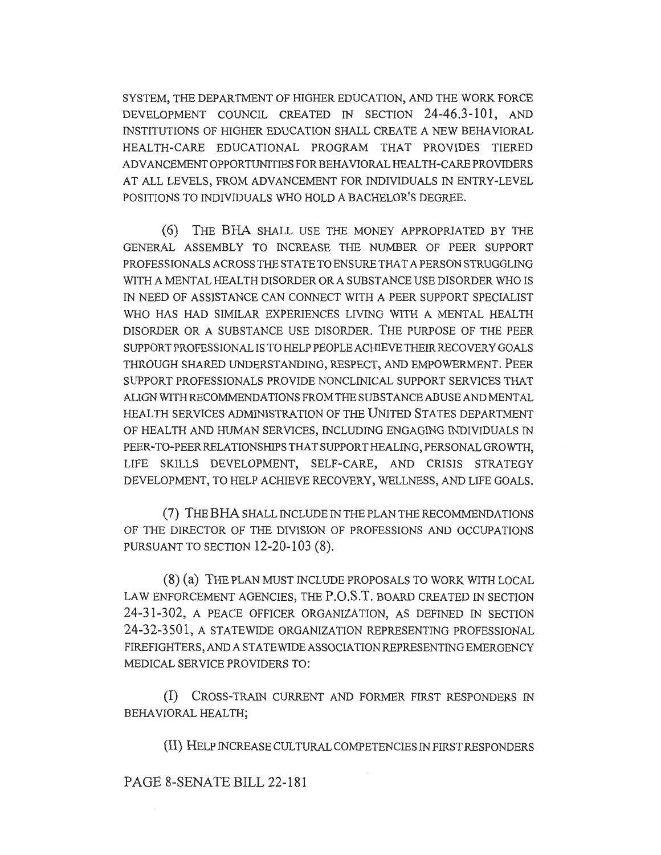SYSTEM, THE DEPARTMENT OF HIGHER EDUCATION, AND THE WORK FORCE DEVELOPMENT COUNCIL CREATED IN SECTION 24-46.3-101, AND INSTITUTIONS OF HIGHER EDUCATION SHALL CREATE A NEW BEHAVIORAL HEALTH-CARE EDUCATIONAL PROGRAM THAT PROVIDES TIERED ADVANCEMENT OPPORTUNITIES FOR BEHAVIORAL HEALTH-CARE PROVIDERS AT ALL LEVELS, FROM ADVANCEMENT FOR INDIVIDUALS IN ENTRY-LEVEL POSITIONS TO INDIVIDUALS WHO HOLD A BACHELOR'S DEGREE.

(6) THE BHA SHALL USE THE MONEY APPROPRIATED BY THE GENERAL ASSEMBLY TO INCREASE THE NUMBER OF PEER SUPPORT PROFESSIONALS ACROSS THE STATE TO ENSURE THAT A PERSON STRUGGLING WITH A MENTAL HEALTH DISORDER OR A SUBSTANCE USE DISORDER WHO IS IN NEED OF ASSISTANCE CAN CONNECT WITH A PEER SUPPORT SPECIALIST WHO HAS HAD SIMILAR EXPERIENCES LIVING WITH A MENTAL HEALTH DISORDER OR A SUBSTANCE USE DISORDER. THE PURPOSE OF THE PEER SUPPORT PROFESSIONAL IS TO HELP PEOPLE ACHIEVE THEIR RECOVERY GOALS THROUGH SHARED UNDERSTANDING, RESPECT, AND EMPOWERMENT. PEER SUPPORT PROFESSIONALS PROVIDE NONCLINICAL SUPPORT SERVICES THAT ALIGN WITH RECOMMENDATIONS FROM THE SUBSTANCE ABUSE AND MENTAL HEALTH SERVICES ADMINISTRATION OF THE UNITED STATES DEPARTMENT OF HEALTH AND HUMAN SERVICES, INCLUDING ENGAGING INDIVIDUALS IN PEER-TO-PEER RELATIONSHIPS THAT SUPPORT HEALING, PERSONAL GROWTH, LIFE SKILLS DEVELOPMENT, SELF-CARE, AND CRISIS STRATEGY DEVELOPMENT, TO HELP ACHIEVE RECOVERY, WELLNESS, AND LIFE GOALS.

(7) THE BHA SHALL INCLUDE IN THE PLAN THE RECOMMENDATIONS OF THE DIRECTOR OF THE DIVISION OF PROFESSIONS AND OCCUPATIONS PURSUANT TO SECTION 12-20-103 (8).

(8) (a) THE PLAN MUST INCLUDE PROPOSALS TO WORK WITH LOCAL LAW ENFORCEMENT AGENCIES, THE P.O.S.T. BOARD CREATED IN SECTION 24-31-302, A PEACE OFFICER ORGANIZATION, AS DEFINED IN SECTION 24-32-3501, A STATEWIDE ORGANIZATION REPRESENTING PROFESSIONAL FIREFIGHTERS, AND A STATEWIDE ASSOCIATION REPRESENTING EMERGENCY MEDICAL SERVICE PROVIDERS TO:

(I) CROSS-TRAIN CURRENT AND FORMER FIRST RESPONDERS IN BEHAVIORAL HEALTH;

(II) HELP INCREASE CULTURAL COMPETENCIES IN FIRST RESPONDERS

PAGE 8-SENATE BILL 22-181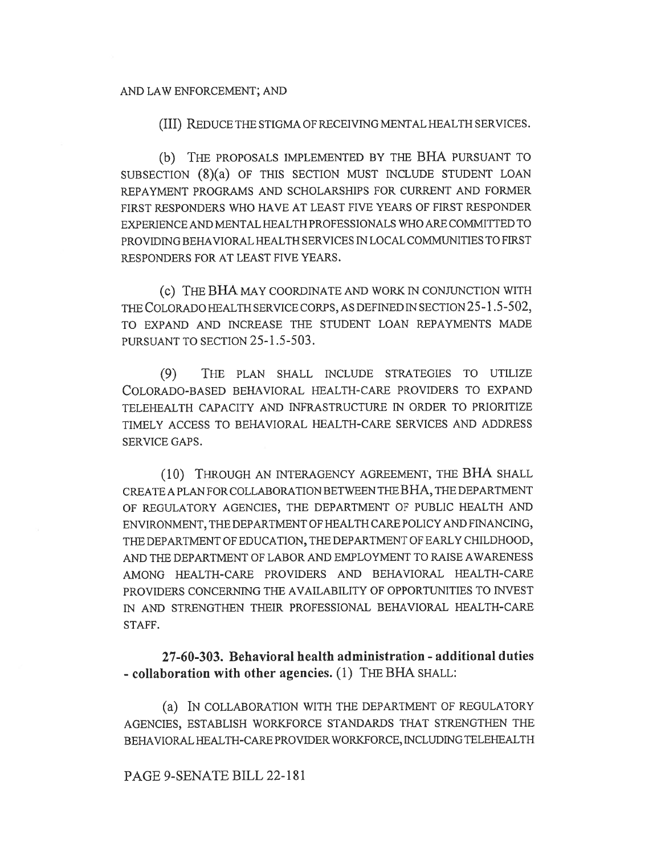#### AND LAW ENFORCEMENT; AND

(III) REDUCE THE STIGMA OF RECEIVING MENTAL HEALTH SERVICES.

(b) THE PROPOSALS IMPLEMENTED BY THE BHA PURSUANT TO SUBSECTION (8)(a) OF THIS SECTION MUST INCLUDE STUDENT LOAN REPAYMENT PROGRAMS AND SCHOLARSHIPS FOR CURRENT AND FORMER FIRST RESPONDERS WHO HAVE AT LEAST FIVE YEARS OF FIRST RESPONDER EXPERIENCE AND MENTAL HEALTH PROFESSIONALS WHO ARE COMMITTED TO PROVIDING BEHAVIORAL HEALTH SERVICES IN LOCAL COMMUNITIES TO FIRST RESPONDERS FOR AT LEAST FIVE YEARS.

(C) THE BHA MAY COORDINATE AND WORK IN CONJUNCTION WITH THE COLORADO HEALTH SERVICE CORPS, AS DEFINED IN SECTION 25-1.5-502, TO EXPAND AND INCREASE THE STUDENT LOAN REPAYMENTS MADE PURSUANT TO SECTION 25-1.5-503.

(9) THE PLAN SHALL INCLUDE STRATEGIES TO UTILIZE COLORADO-BASED BEHAVIORAL HEALTH-CARE PROVIDERS TO EXPAND TELEHEALTH CAPACITY AND INFRASTRUCTURE IN ORDER TO PRIORITIZE TIMELY ACCESS TO BEHAVIORAL HEALTH-CARE SERVICES AND ADDRESS SERVICE GAPS.

(10) THROUGH AN INTERAGENCY AGREEMENT, THE BHA SHALL CREATE A PLAN FOR COLLABORATION BETWEEN THE BHA, THE DEPARTMENT OF REGULATORY AGENCIES, THE DEPARTMENT OF PUBLIC HEALTH AND ENVIRONMENT, THE DEPARTMENT OF HEALTH CARE POLICY AND FINANCING, THE DEPARTMENT OF EDUCATION, THE DEPARTMENT OF EARLY CHILDHOOD, AND THE DEPARTMENT OF LABOR AND EMPLOYMENT TO RAISE AWARENESS AMONG HEALTH-CARE PROVIDERS AND BEHAVIORAL HEALTH-CARE PROVIDERS CONCERNING THE AVAILABILITY OF OPPORTUNITIES TO INVEST IN AND STRENGTHEN THEIR PROFESSIONAL BEHAVIORAL HEALTH-CARE STAFF.

27-60-303. Behavioral health administration - additional duties - collaboration with other agencies. (1) THE BHA SHALL:

(a) IN COLLABORATION WITH THE DEPARTMENT OF REGULATORY AGENCIES, ESTABLISH WORKFORCE STANDARDS THAT STRENGTHEN THE BEHAVIORAL HEALTH-CARE PROVIDER WORKFORCE, INCLUDING TELEHEALTH

## PAGE 9-SENATE BILL 22-181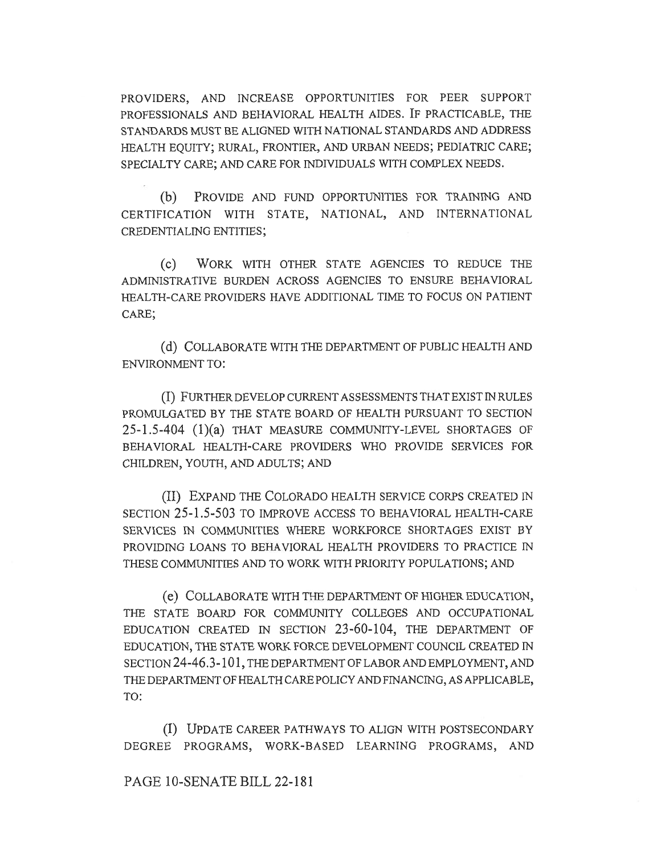PROVIDERS, AND INCREASE OPPORTUNITIES FOR PEER SUPPORT PROFESSIONALS AND BEHAVIORAL HEALTH AIDES. IF PRACTICABLE, THE STANDARDS MUST BE ALIGNED WITH NATIONAL STANDARDS AND ADDRESS HEALTH EQUITY; RURAL, FRONTIER, AND URBAN NEEDS; PEDIATRIC CARE; SPECIALTY CARE; AND CARE FOR INDIVIDUALS WITH COMPLEX NEEDS.

(b) PROVIDE AND FUND OPPORTUNITIES FOR TRAINING AND CERTIFICATION WITH STATE, NATIONAL, AND INTERNATIONAL CREDENTIALING ENTITIES;

(C) WORK WITH OTHER STATE AGENCIES TO REDUCE THE ADMINISTRATIVE BURDEN ACROSS AGENCIES TO ENSURE BEHAVIORAL HEALTH-CARE PROVIDERS HAVE ADDITIONAL TIME TO FOCUS ON PATIENT CARE;

(d) COLLABORATE WITH THE DEPARTMENT OF PUBLIC HEALTH AND ENVIRONMENT TO:

(I) FURTHER DEVELOP CURRENT ASSESSMENTS THAT EXIST IN RULES PROMULGATED BY THE STATE BOARD OF HEALTH PURSUANT TO SECTION 25-1.5-404 (1)(a) THAT MEASURE COMMUNITY-LEVEL SHORTAGES OF BEHAVIORAL HEALTH-CARE PROVIDERS WHO PROVIDE SERVICES FOR CHILDREN, YOUTH, AND ADULTS; AND

(II) EXPAND THE COLORADO HEALTH SERVICE CORPS CREATED IN SECTION 25-1.5-503 TO IMPROVE ACCESS TO BEHAVIORAL HEALTH-CARE SERVICES IN COMMUNITIES WHERE WORKFORCE SHORTAGES EXIST BY PROVIDING LOANS TO BEHAVIORAL HEALTH PROVIDERS TO PRACTICE IN THESE COMMUNITIES AND TO WORK WITH PRIORITY POPULATIONS; AND

(e) COLLABORATE WITH THE DEPARTMENT OF HIGHER EDUCATION, THE STATE BOARD FOR COMMUNITY COLLEGES AND OCCUPATIONAL EDUCATION CREATED IN SECTION 23-60-104, THE DEPARTMENT OF EDUCATION, THE STATE WORK FORCE DEVELOPMENT COUNCIL CREATED IN SECTION 24-46.3-101, THE DEPARTMENT OF LABOR AND EMPLOYMENT, AND THE DEPARTMENT OF HEALTH CARE POLICY AND FINANCING, AS APPLICABLE, TO:

(I) UPDATE CAREER PATHWAYS TO ALIGN WITH POSTSECONDARY DEGREE PROGRAMS, WORK-BASED LEARNING PROGRAMS, AND

PAGE 10-SENATE BILL 22-181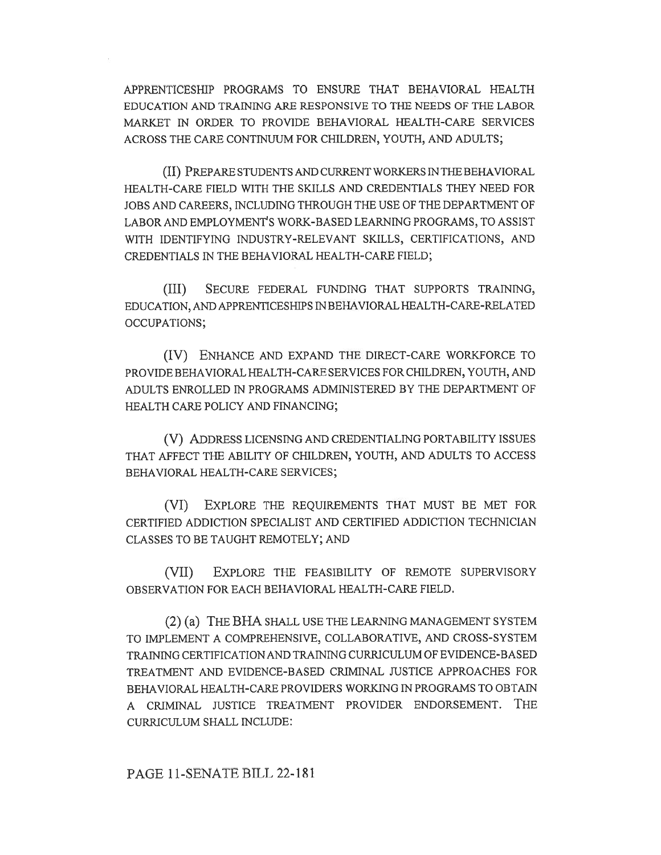APPRENTICESHIP PROGRAMS TO ENSURE THAT BEHAVIORAL HEALTH EDUCATION AND TRAINING ARE RESPONSIVE TO THE NEEDS OF THE LABOR MARKET IN ORDER TO PROVIDE BEHAVIORAL HEALTH-CARE SERVICES ACROSS THE CARE CONTINUUM FOR CHILDREN, YOUTH, AND ADULTS;

(II) PREPARE STUDENTS AND CURRENT WORKERS IN THE BEHAVIORAL HEALTH-CARE FIELD WITH THE SKILLS AND CREDENTIALS THEY NEED FOR JOBS AND CAREERS, INCLUDING THROUGH THE USE OF THE DEPARTMENT OF LABOR AND EMPLOYMENT'S WORK-BASED LEARNING PROGRAMS, TO ASSIST WITH IDENTIFYING INDUSTRY-RELEVANT SKILLS, CERTIFICATIONS, AND CREDENTIALS IN THE BEHAVIORAL HEALTH-CARE FIELD;

(III) SECURE FEDERAL FUNDING THAT SUPPORTS TRAINING, EDUCATION, AND APPRENTICESHIPS IN BEHAVIORAL HEALTH-CARE-RELATED OCCUPATIONS;

(IV) ENHANCE AND EXPAND THE DIRECT-CARE WORKFORCE TO PROVIDE BEHAVIORAL HEALTH-CARE SERVICES FOR CHILDREN, YOUTH, AND ADULTS ENROLLED IN PROGRAMS ADMINISTERED BY THE DEPARTMENT OF HEALTH CARE POLICY AND FINANCING;

(V) ADDRESS LICENSING AND CREDENTIALING PORTABILITY ISSUES THAT AFFECT THE ABILITY OF CHILDREN, YOUTH, AND ADULTS TO ACCESS BEHAVIORAL HEALTH-CARE SERVICES;

(VI) EXPLORE THE REQUIREMENTS THAT MUST BE MET FOR CERTIFIED ADDICTION SPECIALIST AND CERTIFIED ADDICTION TECHNICIAN CLASSES TO BE TAUGHT REMOTELY; AND

(VII) EXPLORE THE FEASIBILITY OF REMOTE SUPERVISORY OBSERVATION FOR EACH BEHAVIORAL HEALTH-CARE FIELD.

(2) (a) THE BHA SHALL USE THE LEARNING MANAGEMENT SYSTEM TO IMPLEMENT A COMPREHENSIVE, COLLABORATIVE, AND CROSS-SYSTEM TRAINING CERTIFICATION AND TRAINING CURRICULUM OF EVIDENCE-BASED TREATMENT AND EVIDENCE-BASED CRIMINAL JUSTICE APPROACHES FOR BEHAVIORAL HEALTH-CARE PROVIDERS WORKING IN PROGRAMS TO OBTAIN A CRIMINAL JUSTICE TREATMENT PROVIDER ENDORSEMENT. THE CURRICULUM SHALL INCLUDE:

## PAGE 11-SENATE BILL 22-181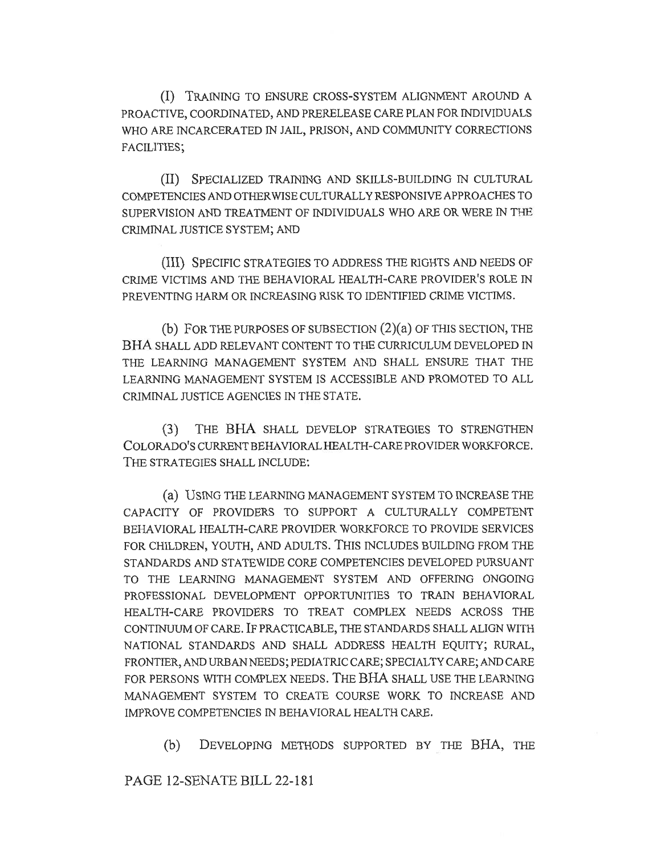(I) TRAINING TO ENSURE CROSS-SYSTEM ALIGNMENT AROUND A PROACTIVE, COORDINATED, AND PRERELEASE CARE PLAN FOR INDIVIDUALS WHO ARE INCARCERATED IN JAIL, PRISON, AND COMMUNITY CORRECTIONS FACILITIES;

(II) SPECIALIZED TRAINING AND SKILLS-BUILDING IN CULTURAL COMPETENCIES AND OTHERWISE CULTURALLY RESPONSIVE APPROACHES TO SUPERVISION AND TREATMENT OF INDIVIDUALS WHO ARE OR WERE IN THE CRIMINAL JUSTICE SYSTEM; AND

(III) SPECIFIC STRATEGIES TO ADDRESS THE RIGHTS AND NEEDS OF CRIME VICTIMS AND THE BEHAVIORAL HEALTH-CARE PROVIDER'S ROLE IN PREVENTING HARM OR INCREASING RISK TO IDENTIFIED CRIME VICTIMS.

(b) FOR THE PURPOSES OF SUBSECTION (2)(a) OF THIS SECTION, THE BHA SHALL ADD RELEVANT CONTENT TO THE CURRICULUM DEVELOPED IN THE LEARNING MANAGEMENT SYSTEM AND SHALL ENSURE THAT THE LEARNING MANAGEMENT SYSTEM IS ACCESSIBLE AND PROMOTED TO ALL CRIMINAL JUSTICE AGENCIES IN THE STATE.

(3) THE BHA SHALL DEVELOP STRATEGIES TO STRENGTHEN COLORADO'S CURRENT BEHAVIORAL HEALTH-CARE PROVIDER WORKFORCE. THE STRATEGIES SHALL INCLUDE:

(a) USING THE LEARNING MANAGEMENT SYSTEM TO INCREASE THE CAPACITY OF PROVIDERS TO SUPPORT A CULTURALLY COMPETENT BEHAVIORAL HEALTH-CARE PROVIDER WORKFORCE TO PROVIDE SERVICES FOR CHILDREN, YOUTH, AND ADULTS. THIS INCLUDES BUILDING FROM THE STANDARDS AND STATEWIDE CORE COMPETENCIES DEVELOPED PURSUANT TO THE LEARNING MANAGEMENT SYSTEM AND OFFERING ONGOING PROFESSIONAL DEVELOPMENT OPPORTUNITIES TO TRAIN BEHAVIORAL HEALTH-CARE PROVIDERS TO TREAT COMPLEX NEEDS ACROSS THE CONTINUUM OF CARE. IF PRACTICABLE, THE STANDARDS SHALL ALIGN WITH NATIONAL STANDARDS AND SHALL ADDRESS HEALTH EQUITY; RURAL, FRONTIER, AND URBAN NEEDS; PEDIATRIC CARE; SPECIALTY CARE; AND CARE FOR PERSONS WITH COMPLEX NEEDS. THE BHA SHALL USE THE LEARNING MANAGEMENT SYSTEM TO CREATE COURSE WORK TO INCREASE AND IMPROVE COMPETENCIES IN BEHAVIORAL HEALTH CARE.

(b) DEVELOPING METHODS SUPPORTED BY THE BHA, THE

PAGE 12-SENATE BILL 22-181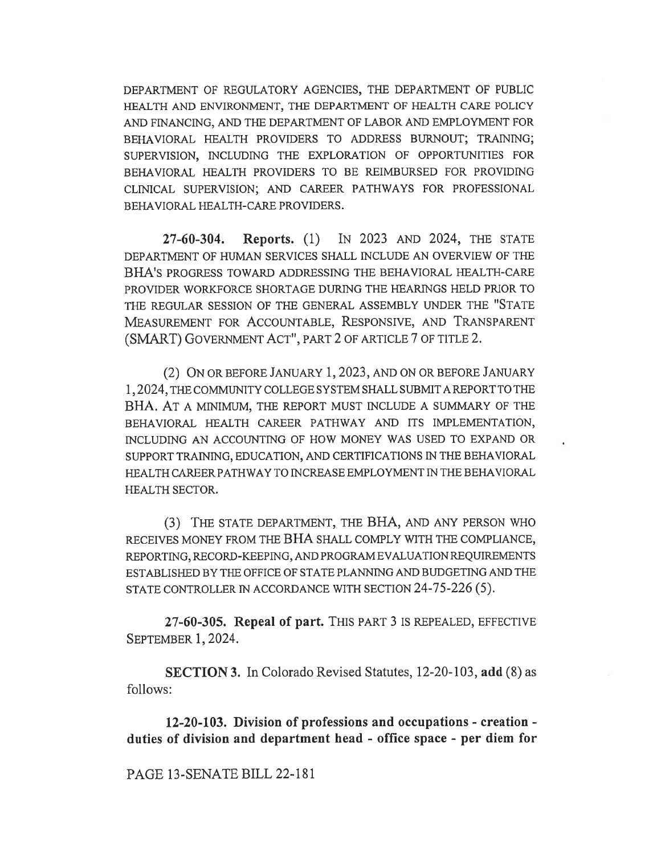DEPARTMENT OF REGULATORY AGENCIES, THE DEPARTMENT OF PUBLIC HEALTH AND ENVIRONMENT, THE DEPARTMENT OF HEALTH CARE POLICY AND FINANCING, AND THE DEPARTMENT OF LABOR AND EMPLOYMENT FOR BEHAVIORAL HEALTH PROVIDERS TO ADDRESS BURNOUT; TRAINING; SUPERVISION, INCLUDING THE EXPLORATION OF OPPORTUNITIES FOR BEHAVIORAL HEALTH PROVIDERS TO BE REIMBURSED FOR PROVIDING CLINICAL SUPERVISION; AND CAREER PATHWAYS FOR PROFESSIONAL BEHAVIORAL HEALTH-CARE PROVIDERS.

27-60-304. Reports. (1) IN 2023 AND 2024, THE STATE DEPARTMENT OF HUMAN SERVICES SHALL INCLUDE AN OVERVIEW OF THE BHA'S PROGRESS TOWARD ADDRESSING THE BEHAVIORAL HEALTH-CARE PROVIDER WORKFORCE SHORTAGE DURING THE HEARINGS HELD PRIOR TO THE REGULAR SESSION OF THE GENERAL ASSEMBLY UNDER THE "STATE MEASUREMENT FOR ACCOUNTABLE, RESPONSIVE, AND TRANSPARENT (SMART) GOVERNMENT ACT", PART 2 OF ARTICLE 7 OF TITLE 2.

(2) ON OR BEFORE JANUARY 1, 2023, AND ON OR BEFORE JANUARY 1, 2024, THE COMMUNITY COLLEGE SYSTEM SHALL SUBMIT A REPORT TO THE BHA. AT A MINIMUM, THE REPORT MUST INCLUDE A SUMMARY OF THE BEHAVIORAL HEALTH CAREER PATHWAY AND ITS IMPLEMENTATION, INCLUDING AN ACCOUNTING OF HOW MONEY WAS USED TO EXPAND OR SUPPORT TRAINING, EDUCATION, AND CERTIFICATIONS IN THE BEHAVIORAL HEALTH CAREER PATHWAY TO INCREASE EMPLOYMENT IN THE BEHAVIORAL HEALTH SECTOR.

(3) THE STATE DEPARTMENT, THE BHA, AND ANY PERSON WHO RECEIVES MONEY FROM THE BHA SHALL COMPLY WITH THE COMPLIANCE, REPORTING, RECORD-KEEPING, AND PROGRAM EVALUATION REQUIREMENTS ESTABLISHED BY THE OFFICE OF STATE PLANNING AND BUDGETING AND THE STATE CONTROLLER IN ACCORDANCE WITH SECTION 24-75-226 (5).

27-60-305. Repeal of part. THIS PART 3 IS REPEALED, EFFECTIVE SEPTEMBER 1, 2024.

SECTION 3. In Colorado Revised Statutes, 12-20-103, add (8) as follows:

12-20-103. Division of professions and occupations - creation duties of division and department head - office space - per diem for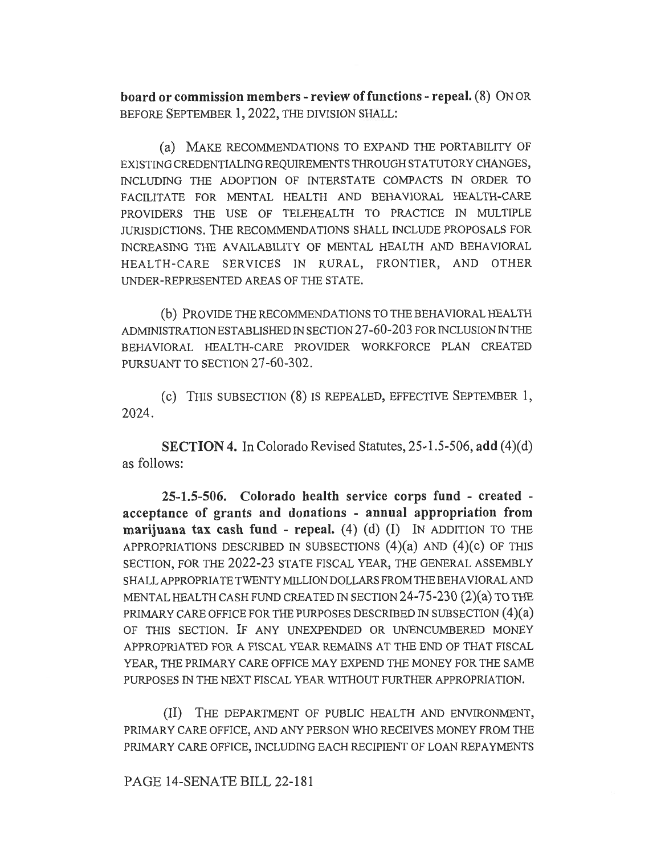board or commission members - review of functions - repeal. (8) ON OR BEFORE SEPTEMBER 1, 2022, THE DIVISION SHALL:

(a) MAKE RECOMMENDATIONS TO EXPAND THE PORTABILITY OF EXISTING CREDENTIALING REQUIREMENTS THROUGH STATUTORY CHANGES, INCLUDING THE ADOPTION OF INTERSTATE COMPACTS IN ORDER TO FACILITATE FOR MENTAL HEALTH AND BEHAVIORAL HEALTH-CARE PROVIDERS THE USE OF TELEHEALTH TO PRACTICE IN MULTIPLE JURISDICTIONS. THE RECOMMENDATIONS SHALL INCLUDE PROPOSALS FOR INCREASING THE AVAILABILITY OF MENTAL HEALTH AND BEHAVIORAL HEALTH-CARE SERVICES IN RURAL, FRONTIER, AND OTHER UNDER-REPRESENTED AREAS OF THE STATE.

(b) PROVIDE THE RECOMMENDATIONS TO THE BEHAVIORAL HEALTH ADMINISTRATION ESTABLISHED IN SECTION 27-60-203 FOR INCLUSION IN THE BEHAVIORAL HEALTH-CARE PROVIDER WORKFORCE PLAN CREATED PURSUANT TO SECTION 27-60-302.

(c) THIS SUBSECTION (8) IS REPEALED, EFFECTIVE SEPTEMBER 1, 2024.

SECTION 4. In Colorado Revised Statutes, 25-1.5-506, add (4)(d) as follows:

25-1.5-506. Colorado health service corps fund - created acceptance of grants and donations - annual appropriation from marijuana tax cash fund - repeal.  $(4)$   $(d)$   $(I)$  IN ADDITION TO THE APPROPRIATIONS DESCRIBED IN SUBSECTIONS  $(4)(a)$  and  $(4)(c)$  of this SECTION, FOR THE 2022-23 STATE FISCAL YEAR, THE GENERAL ASSEMBLY SHALL APPROPRIATE TWENTY MILLION DOLLARS FROM THE BEHAVIORAL AND MENTAL HEALTH CASH FUND CREATED IN SECTION 24-75-230 (2)(a) TO THE PRIMARY CARE OFFICE FOR THE PURPOSES DESCRIBED IN SUBSECTION (4)(a) OF THIS SECTION. IF ANY UNEXPENDED OR UNENCUMBERED MONEY APPROPRIATED FOR A FISCAL YEAR REMAINS AT THE END OF THAT FISCAL YEAR, THE PRIMARY CARE OFFICE MAY EXPEND THE MONEY FOR THE SAME PURPOSES IN THE NEXT FISCAL YEAR WITHOUT FURTHER APPROPRIATION.

(II) THE DEPARTMENT OF PUBLIC HEALTH AND ENVIRONMENT, PRIMARY CARE OFFICE, AND ANY PERSON WHO RECEIVES MONEY FROM THE PRIMARY CARE OFFICE, INCLUDING EACH RECIPIENT OF LOAN REPAYMENTS

PAGE 14-SENATE BILL 22-181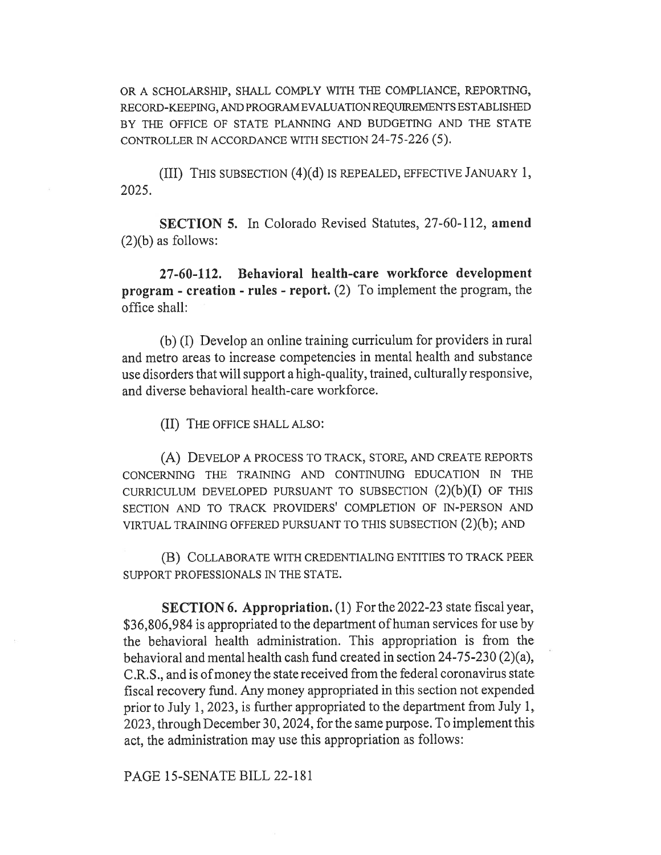OR A SCHOLARSHIP, SHALL COMPLY WITH THE COMPLIANCE, REPORTING, RECORD-KEEPING, AND PROGRAM EVALUATION REQUIREMENTS ESTABLISHED BY THE OFFICE OF STATE PLANNING AND BUDGETING AND THE STATE CONTROLLER IN ACCORDANCE WITH SECTION 24-75-226 (5).

(III) THIS SUBSECTION (4)(d) IS REPEALED, EFFECTIVE JANUARY 1, 2025.

SECTION 5. In Colorado Revised Statutes, 27-60-112, amend (2)(b) as follows:

27-60-112. Behavioral health-care workforce development program - creation - rules - report. (2) To implement the program, the office shall:

(b) (I) Develop an online training curriculum for providers in rural and metro areas to increase competencies in mental health and substance use disorders that will support a high-quality, trained, culturally responsive, and diverse behavioral health-care workforce.

(II) THE OFFICE SHALL ALSO:

(A) DEVELOP A PROCESS TO TRACK, STORE, AND CREATE REPORTS CONCERNING THE TRAINING AND CONTINUING EDUCATION IN THE CURRICULUM DEVELOPED PURSUANT TO SUBSECTION  $(2)(b)(I)$  OF THIS SECTION AND TO TRACK PROVIDERS' COMPLETION OF IN-PERSON AND VIRTUAL TRAINING OFFERED PURSUANT TO THIS SUBSECTION (2)(b); AND

(B) COLLABORATE WITH CREDENTIALING ENTITIES TO TRACK PEER SUPPORT PROFESSIONALS IN THE STATE.

SECTION 6. Appropriation. (1) For the 2022-23 state fiscal year, \$36,806,984 is appropriated to the department of human services for use by the behavioral health administration. This appropriation is from the behavioral and mental health cash fund created in section 24-75-230 (2)(a), C.R.S., and is of money the state received from the federal coronavirus state fiscal recovery fund. Any money appropriated in this section not expended prior to July 1, 2023, is further appropriated to the department from July 1, 2023, through December 30, 2024, for the same purpose. To implement this act, the administration may use this appropriation as follows:

PAGE 15-SENATE BILL 22-181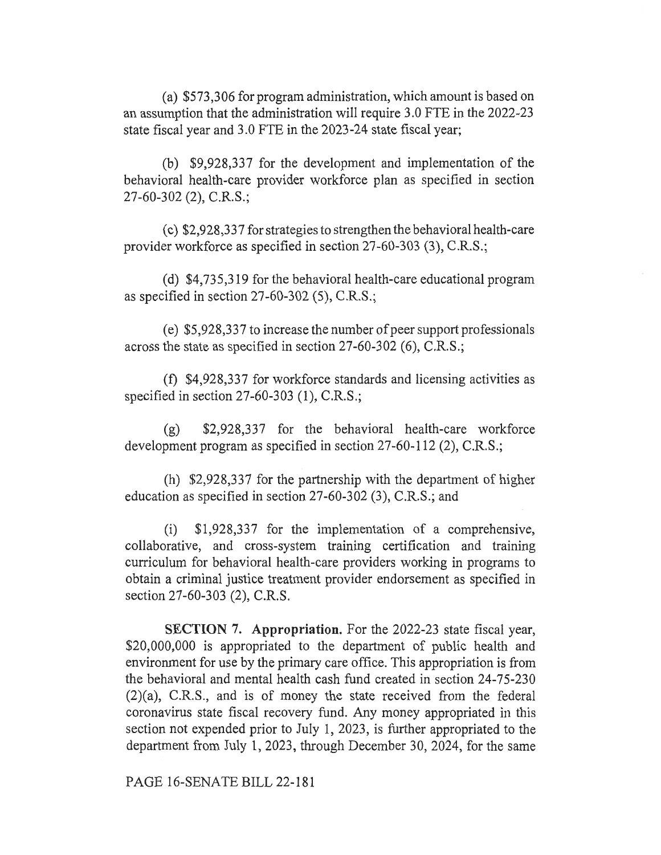(a) \$573,306 for program administration, which amount is based on an assumption that the administration will require 3.0 FTE in the 2022-23 state fiscal year and 3.0 FTE in the 2023-24 state fiscal year;

(b) \$9,928,337 for the development and implementation of the behavioral health-care provider workforce plan as specified in section 27-60-302 (2), C.R.S.;

(c) \$2,928,337 for strategies to strengthen the behavioral health-care provider workforce as specified in section 27-60-303 (3), C.R.S.;

(d) \$4,735,319 for the behavioral health-care educational program as specified in section 27-60-302 (5), C.R.S.;

(e) \$5,928,337 to increase the number of peer support professionals across the state as specified in section 27-60-302 (6), C.R.S.;

(f) \$4,928,337 for workforce standards and licensing activities as specified in section 27-60-303 (1), C.R.S.;

(g) \$2,928,337 for the behavioral health-care workforce development program as specified in section 27-60-112 (2), C.R.S.;

(h) \$2,928,337 for the partnership with the department of higher education as specified in section 27-60-302 (3), C.R.S.; and

(i) \$1,928,337 for the implementation of a comprehensive, collaborative, and cross-system training certification and training curriculum for behavioral health-care providers working in programs to obtain a criminal justice treatment provider endorsement as specified in section 27-60-303 (2), C.R.S.

SECTION 7. Appropriation. For the 2022-23 state fiscal year, \$20,000,000 is appropriated to the department of public health and environment for use by the primary care office. This appropriation is from the behavioral and mental health cash fund created in section 24-75-230 (2)(a), C.R.S., and is of money the state received from the federal coronavirus state fiscal recovery fund. Any money appropriated in this section not expended prior to July 1, 2023, is further appropriated to the department from July 1, 2023, through December 30, 2024, for the same

PAGE 16-SENATE BILL 22-181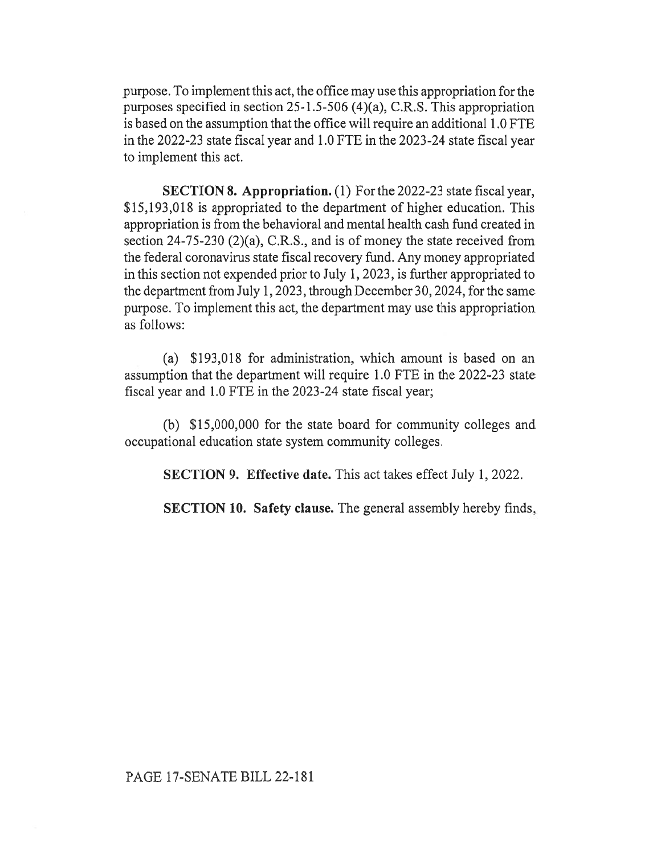purpose. To implement this act, the office may use this appropriation for the purposes specified in section 25-1.5-506 (4)(a), C.R.S. This appropriation is based on the assumption that the office will require an additional 1.0 FTE in the 2022-23 state fiscal year and 1.0 FTE in the 2023-24 state fiscal year to implement this act.

SECTION 8. Appropriation. (1) For the 2022-23 state fiscal year, \$15,193,018 is appropriated to the department of higher education. This appropriation is from the behavioral and mental health cash fund created in section 24-75-230 (2)(a), C.R.S., and is of money the state received from the federal coronavirus state fiscal recovery fund. Any money appropriated in this section not expended prior to July 1, 2023, is further appropriated to the department from July 1, 2023, through December 30, 2024, for the same purpose. To implement this act, the department may use this appropriation as follows:

(a) \$193,018 for administration, which amount is based on an assumption that the department will require 1.0 FTE in the 2022-23 state fiscal year and 1.0 FTE in the 2023-24 state fiscal year;

(b) \$15,000,000 for the state board for community colleges and occupational education state system community colleges.

SECTION 9. Effective date. This act takes effect July 1, 2022.

SECTION 10. Safety clause. The general assembly hereby finds,